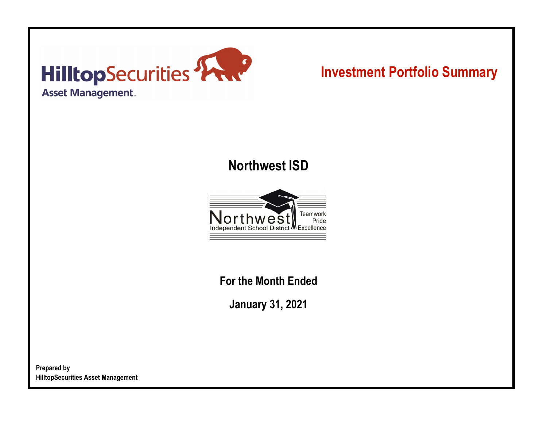

# **Investment Portfolio Summary**

## **Northwest ISD**



**For the Month Ended**

**January 31, 2021**

**Prepared by HilltopSecurities Asset Management**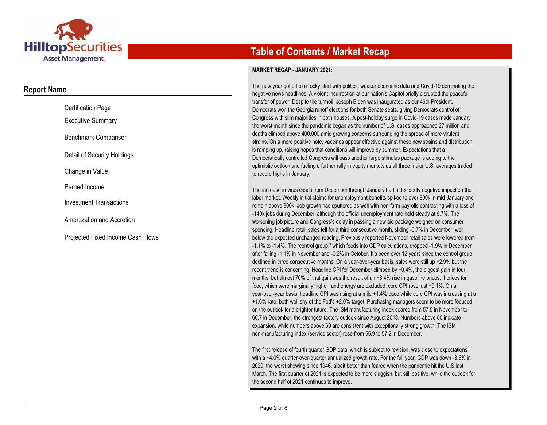

### **Report Name**

| <b>Certification Page</b>         |
|-----------------------------------|
| <b>Executive Summary</b>          |
| Benchmark Comparison              |
| Detail of Security Holdings       |
| Change in Value                   |
| Earned Income                     |
| <b>Investment Transactions</b>    |
| Amortization and Accretion        |
| Proiected Fixed Income Cash Flows |

## **Table of Contents / Market Recap**

#### **MARKET RECAP - JANUARY 2021:**

The new year got off to a rocky start with politics, weaker economic data and Covid-19 dominating the negative news headlines. A violent insurrection at our nation's Capitol briefly disrupted the peaceful transfer of power. Despite the turmoil, Joseph Biden was inaugurated as our 46th President. Democrats won the Georgia runoff elections for both Senate seats, giving Democrats control of Congress with slim majorities in both houses. A post-holiday surge in Covid-19 cases made January the worst month since the pandemic began as the number of U.S. cases approached 27 million and deaths climbed above 400,000 amid growing concerns surrounding the spread of more virulent strains. On a more positive note, vaccines appear effective against these new strains and distribution is ramping up, raising hopes that conditions will improve by summer. Expectations that a Democratically controlled Congress will pass another large stimulus package is adding to the optimistic outlook and fueling a further rally in equity markets as all three major U.S. averages traded to record highs in January.

The increase in virus cases from December through January had a decidedly negative impact on the labor market. Weekly initial claims for unemployment benefits spiked to over 900k in mid-January and remain above 800k. Job growth has sputtered as well with non-farm payrolls contracting with a loss of -140k jobs during December, although the official unemployment rate held steady at 6.7%. The worsening job picture and Congress's delay in passing a new aid package weighed on consumer spending. Headline retail sales fell for a third consecutive month, sliding -0.7% in December, well below the expected unchanged reading. Previously reported November retail sales were lowered from -1.1% to -1.4%. The "control group," which feeds into GDP calculations, dropped -1.9% in December after falling -1.1% in November and -0.2% in October. It's been over 12 years since the control group declined in three consecutive months. On a year-over-year basis, sales were still up +2.9% but the recent trend is concerning. Headline CPI for December climbed by +0.4%, the biggest gain in four months, but almost 70% of that gain was the result of an +8.4% rise in gasoline prices. If prices for food, which were marginally higher, and energy are excluded, core CPI rose just +0.1%. On a year-over-year basis, headline CPI was rising at a mild +1.4% pace while core CPI was increasing at a +1.6% rate, both well shy of the Fed's +2.0% target. Purchasing managers seem to be more focused on the outlook for a brighter future. The ISM manufacturing index soared from 57.5 in November to 60.7 in December, the strongest factory outlook since August 2018. Numbers above 50 indicate expansion, while numbers above 60 are consistent with exceptionally strong growth. The ISM non-manufacturing index (service sector) rose from 55.9 to 57.2 in December.

The first release of fourth quarter GDP data, which is subject to revision, was close to expectations with a +4.0% quarter-over-quarter annualized growth rate. For the full year, GDP was down -3.5% in 2020, the worst showing since 1946, albeit better than feared when the pandemic hit the U.S last March. The first quarter of 2021 is expected to be more sluggish, but still positive, while the outlook for the second half of 2021 continues to improve.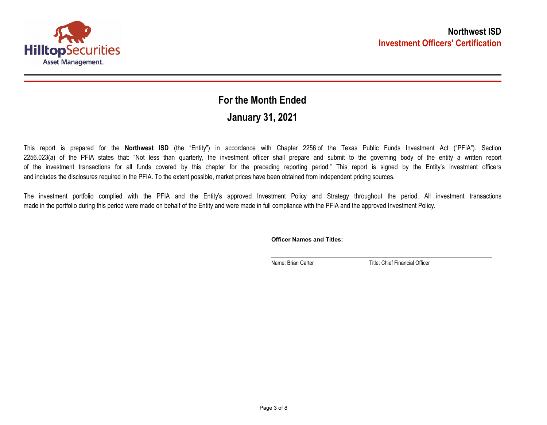

## **January 31, 2021 For the Month Ended**

This report is prepared for the **Northwest ISD** (the "Entity") in accordance with Chapter 2256 of the Texas Public Funds Investment Act ("PFIA"). Section 2256.023(a) of the PFIA states that: "Not less than quarterly, the investment officer shall prepare and submit to the governing body of the entity a written report of the investment transactions for all funds covered by this chapter for the preceding reporting period." This report is signed by the Entity's investment officers and includes the disclosures required in the PFIA. To the extent possible, market prices have been obtained from independent pricing sources.

The investment portfolio complied with the PFIA and the Entity's approved Investment Policy and Strategy throughout the period. All investment transactions made in the portfolio during this period were made on behalf of the Entity and were made in full compliance with the PFIA and the approved Investment Policy.

**Officer Names and Titles:**

Name: Brian Carter Title: Chief Financial Officer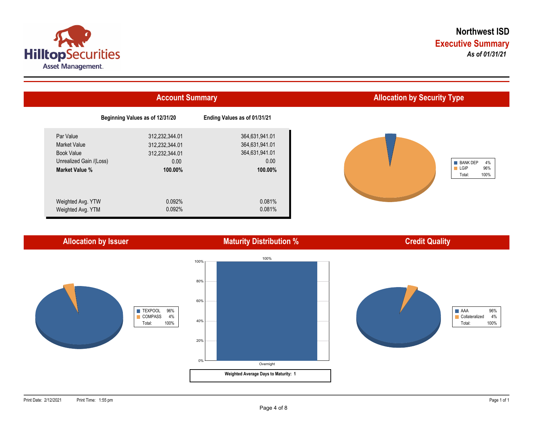



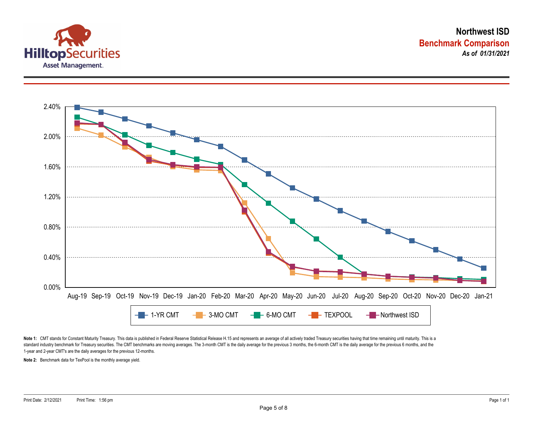



Note 1: CMT stands for Constant Maturity Treasury. This data is published in Federal Reserve Statistical Release H.15 and represents an average of all actively traded Treasury securities having that time remaining until ma standard industry benchmark for Treasury securities. The CMT benchmarks are moving averages. The 3-month CMT is the daily average for the previous 3 months, the 6-month CMT is the daily average for the previous 6 months, a 1-year and 2-year CMT's are the daily averages for the previous 12-months.

**Note 2:** Benchmark data for TexPool is the monthly average yield.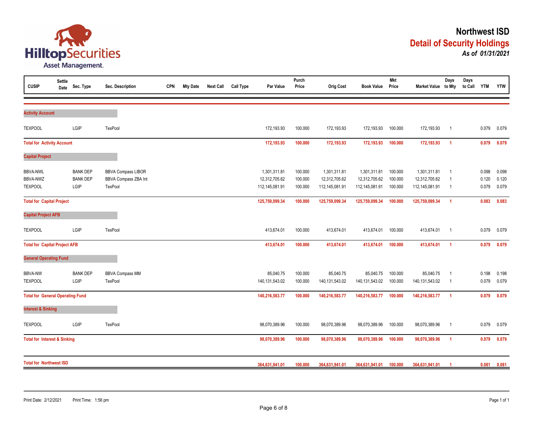

| <b>CUSIP</b>                            | <b>Settle</b><br>Date | Sec. Type       | Sec. Description          | <b>CPN</b> | <b>Mty Date</b> | <b>Next Call</b> | <b>Call Type</b> | Par Value      | Purch<br>Price | <b>Orig Cost</b> | <b>Book Value</b> | <b>Mkt</b><br>Price | Market Value to Mty | Days           | Days<br>to Call | <b>YTM</b> | <b>YTW</b> |
|-----------------------------------------|-----------------------|-----------------|---------------------------|------------|-----------------|------------------|------------------|----------------|----------------|------------------|-------------------|---------------------|---------------------|----------------|-----------------|------------|------------|
|                                         |                       |                 |                           |            |                 |                  |                  |                |                |                  |                   |                     |                     |                |                 |            |            |
| <b>Activity Account</b>                 |                       |                 |                           |            |                 |                  |                  |                |                |                  |                   |                     |                     |                |                 |            |            |
| <b>TEXPOOL</b>                          |                       | LGIP            | TexPool                   |            |                 |                  |                  | 172,193.93     | 100.000        | 172,193.93       | 172,193.93        | 100.000             | 172,193.93          | $\overline{1}$ |                 | 0.079      | 0.079      |
| <b>Total for Activity Account</b>       |                       |                 |                           |            |                 | 172,193.93       | 100.000          | 172,193.93     | 172,193.93     | 100.000          | 172,193.93        | $\overline{1}$      |                     | 0.079          | 0.079           |            |            |
| <b>Capital Project</b>                  |                       |                 |                           |            |                 |                  |                  |                |                |                  |                   |                     |                     |                |                 |            |            |
| <b>BBVA-NWL</b>                         |                       | <b>BANK DEP</b> | <b>BBVA Compass LIBOR</b> |            |                 |                  |                  | 1,301,311.81   | 100.000        | 1,301,311.81     | 1,301,311.81      | 100.000             | 1,301,311.81        | $\overline{1}$ |                 | 0.098      | 0.098      |
| <b>BBVA-NWZ</b>                         |                       | <b>BANK DEP</b> | BBVA Compass ZBA Int      |            |                 |                  |                  | 12,312,705.62  | 100.000        | 12,312,705.62    | 12,312,705.62     | 100.000             | 12,312,705.62       | $\overline{1}$ |                 | 0.120      | 0.120      |
| <b>TEXPOOL</b>                          |                       | LGIP            | TexPool                   |            |                 |                  |                  | 112,145,081.91 | 100.000        | 112,145,081.91   | 112,145,081.91    | 100.000             | 112,145,081.91      | $\overline{1}$ |                 | 0.079      | 0.079      |
| <b>Total for Capital Project</b>        |                       |                 |                           |            |                 |                  |                  | 125,759,099.34 | 100.000        | 125,759,099.34   | 125,759,099.34    | 100.000             | 125,759,099.34      | $\overline{1}$ |                 | 0.083      | 0.083      |
| <b>Capital Project AFB</b>              |                       |                 |                           |            |                 |                  |                  |                |                |                  |                   |                     |                     |                |                 |            |            |
| <b>TEXPOOL</b>                          |                       | LGIP            | TexPool                   |            |                 |                  |                  | 413,674.01     | 100.000        | 413,674.01       | 413,674.01        | 100.000             | 413,674.01          | $\overline{1}$ |                 | 0.079      | 0.079      |
| <b>Total for Capital Project AFB</b>    |                       |                 |                           |            |                 |                  |                  | 413,674.01     | 100.000        | 413,674.01       | 413,674.01        | 100.000             | 413,674.01          | $\overline{1}$ |                 | 0.079      | 0.079      |
| <b>General Operating Fund</b>           |                       |                 |                           |            |                 |                  |                  |                |                |                  |                   |                     |                     |                |                 |            |            |
| <b>BBVA-NW</b>                          |                       | <b>BANK DEP</b> | <b>BBVA Compass MM</b>    |            |                 |                  |                  | 85,040.75      | 100.000        | 85,040.75        | 85,040.75         | 100.000             | 85,040.75           | $\overline{1}$ |                 | 0.198      | 0.198      |
| <b>TEXPOOL</b>                          |                       | LGIP            | TexPool                   |            |                 |                  |                  | 140,131,543.02 | 100.000        | 140,131,543.02   | 140, 131, 543. 02 | 100.000             | 140, 131, 543. 02   | - 1            |                 | 0.079      | 0.079      |
| <b>Total for General Operating Fund</b> |                       |                 |                           |            |                 |                  |                  | 140,216,583.77 | 100.000        | 140,216,583.77   | 140,216,583.77    | 100.000             | 140,216,583.77      | $\overline{1}$ |                 | 0.079      | 0.079      |
| <b>Interest &amp; Sinking</b>           |                       |                 |                           |            |                 |                  |                  |                |                |                  |                   |                     |                     |                |                 |            |            |
| <b>TEXPOOL</b>                          |                       | LGIP            | TexPool                   |            |                 |                  |                  | 98,070,389.96  | 100.000        | 98,070,389.96    | 98,070,389.96     | 100.000             | 98,070,389.96       | $\overline{1}$ |                 | 0.079      | 0.079      |
| <b>Total for Interest &amp; Sinking</b> |                       |                 |                           |            |                 |                  |                  | 98,070,389.96  | 100.000        | 98,070,389.96    | 98,070,389.96     | 100.000             | 98,070,389.96       | $\overline{1}$ |                 | 0.079      | 0.079      |
| <b>Total for Northwest ISD</b>          |                       |                 |                           |            |                 |                  |                  |                |                |                  |                   |                     |                     |                |                 |            |            |
|                                         |                       |                 |                           |            | 364,631,941.01  | 100.000          | 364,631,941.01   | 364,631,941.01 | 100.000        | 364,631,941.01   |                   |                     | 0.081               | 0.081          |                 |            |            |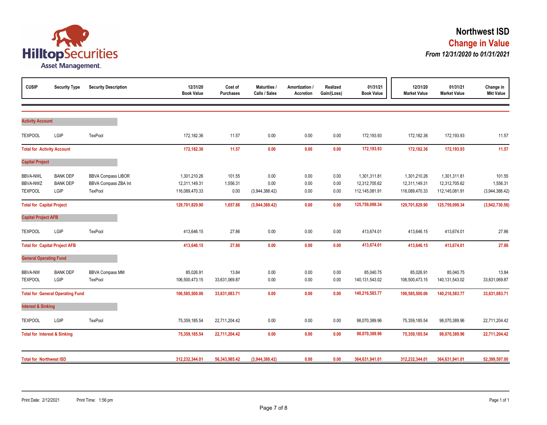

| <b>CUSIP</b>                                  | <b>Security Type</b>                       | <b>Security Description</b>                                         | 12/31/20<br><b>Book Value</b>                   | Cost of<br><b>Purchases</b> | <b>Maturities /</b><br>Calls / Sales | Amortization /<br>Accretion | Realized<br>Gain/(Loss) | 01/31/21<br><b>Book Value</b>                   | 12/31/20<br><b>Market Value</b>                 | 01/31/21<br><b>Market Value</b>                 | Change in<br><b>Mkt Value</b>        |
|-----------------------------------------------|--------------------------------------------|---------------------------------------------------------------------|-------------------------------------------------|-----------------------------|--------------------------------------|-----------------------------|-------------------------|-------------------------------------------------|-------------------------------------------------|-------------------------------------------------|--------------------------------------|
| <b>Activity Account</b>                       |                                            |                                                                     |                                                 |                             |                                      |                             |                         |                                                 |                                                 |                                                 |                                      |
| <b>TEXPOOL</b>                                | LGIP                                       | TexPool                                                             | 172,182.36                                      | 11.57                       | 0.00                                 | 0.00                        | 0.00                    | 172,193.93                                      | 172,182.36                                      | 172,193.93                                      | 11.57                                |
| <b>Total for Activity Account</b>             |                                            |                                                                     | 172,182.36                                      | 11.57                       | 0.00                                 | 0.00                        | 0.00                    | 172,193.93                                      | 172,182.36                                      | 172,193.93                                      | 11.57                                |
| <b>Capital Project</b>                        |                                            |                                                                     |                                                 |                             |                                      |                             |                         |                                                 |                                                 |                                                 |                                      |
| <b>BBVA-NWL</b><br>BBVA-NWZ<br><b>TEXPOOL</b> | <b>BANK DEP</b><br><b>BANK DEP</b><br>LGIP | <b>BBVA Compass LIBOR</b><br><b>BBVA Compass ZBA Int</b><br>TexPool | 1,301,210.26<br>12,311,149.31<br>116,089,470.33 | 101.55<br>1,556.31<br>0.00  | 0.00<br>0.00<br>(3,944,388.42)       | 0.00<br>0.00<br>0.00        | 0.00<br>0.00<br>0.00    | 1,301,311.81<br>12,312,705.62<br>112,145,081.91 | 1,301,210.26<br>12,311,149.31<br>116,089,470.33 | 1,301,311.81<br>12,312,705.62<br>112,145,081.91 | 101.55<br>1,556.31<br>(3,944,388.42) |
| <b>Total for Capital Project</b>              |                                            |                                                                     | 129,701,829.90                                  | 1,657.86                    | (3,944,388.42)                       | 0.00                        | 0.00                    | 125,759,099.34                                  | 129,701,829.90                                  | 125,759,099.34                                  | (3,942,730.56)                       |
| <b>Capital Project AFB</b>                    |                                            |                                                                     |                                                 |                             |                                      |                             |                         |                                                 |                                                 |                                                 |                                      |
| <b>TEXPOOL</b>                                | LGIP                                       | TexPool                                                             | 413,646.15                                      | 27.86                       | 0.00                                 | 0.00                        | 0.00                    | 413,674.01                                      | 413,646.15                                      | 413,674.01                                      | 27.86                                |
|                                               | <b>Total for Capital Project AFB</b>       |                                                                     | 413,646.15                                      | 27.86                       | 0.00                                 | 0.00                        | 0.00                    | 413,674.01                                      | 413,646.15                                      | 413,674.01                                      | 27.86                                |
| <b>General Operating Fund</b>                 |                                            |                                                                     |                                                 |                             |                                      |                             |                         |                                                 |                                                 |                                                 |                                      |
| <b>BBVA-NW</b><br><b>TEXPOOL</b>              | <b>BANK DEP</b><br>LGIP                    | <b>BBVA Compass MM</b><br>TexPool                                   | 85,026.91<br>106,500,473.15                     | 13.84<br>33,631,069.87      | 0.00<br>0.00                         | 0.00<br>0.00                | 0.00<br>0.00            | 85,040.75<br>140,131,543.02                     | 85,026.91<br>106,500,473.15                     | 85,040.75<br>140, 131, 543.02                   | 13.84<br>33,631,069.87               |
|                                               | <b>Total for General Operating Fund</b>    |                                                                     | 106,585,500.06                                  | 33,631,083.71               | 0.00                                 | 0.00                        | 0.00                    | 140,216,583.77                                  | 106,585,500.06                                  | 140,216,583.77                                  | 33,631,083.71                        |
| <b>Interest &amp; Sinking</b>                 |                                            |                                                                     |                                                 |                             |                                      |                             |                         |                                                 |                                                 |                                                 |                                      |
| <b>TEXPOOL</b>                                | LGIP                                       | TexPool                                                             | 75,359,185.54                                   | 22,711,204.42               | 0.00                                 | 0.00                        | 0.00                    | 98,070,389.96                                   | 75,359,185.54                                   | 98,070,389.96                                   | 22,711,204.42                        |
| <b>Total for Interest &amp; Sinking</b>       |                                            |                                                                     | 75,359,185.54                                   | 22,711,204.42               | 0.00                                 | 0.00                        | 0.00                    | 98,070,389.96                                   | 75,359,185.54                                   | 98,070,389.96                                   | 22,711,204.42                        |
| <b>Total for Northwest ISD</b>                |                                            |                                                                     | 312,232,344.01                                  | 56,343,985.42               | (3,944,388.42)                       | 0.00                        | 0.00                    | 364,631,941.01                                  | 312,232,344.01                                  | 364,631,941.01                                  | 52,399,597.00                        |